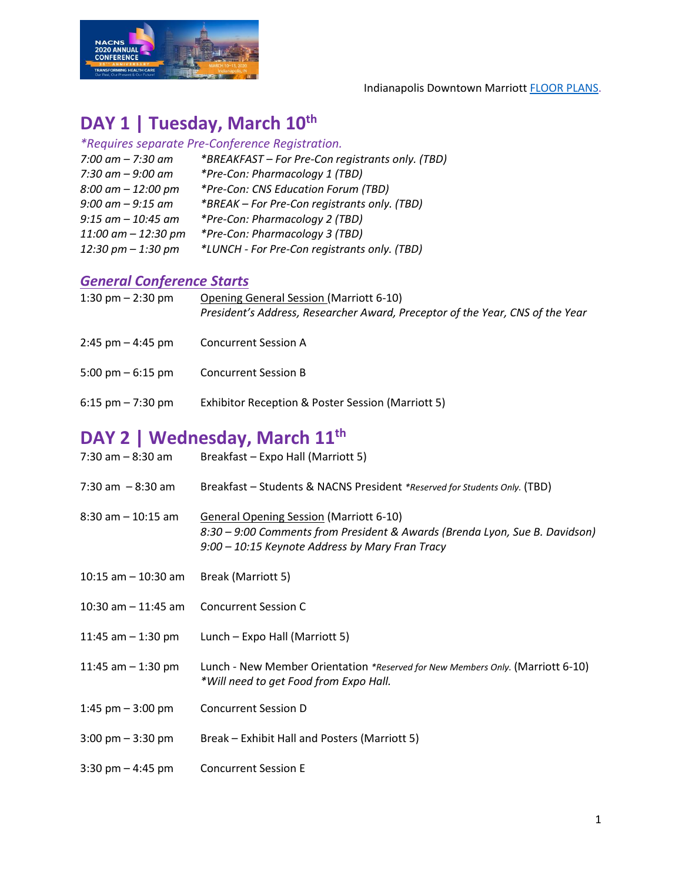

Indianapolis Downtown Marriot[t FLOOR PLANS.](https://www.marriott.com/hotels/event-planning/business-meeting/indcc-indianapolis-marriott-downtown/#m-capacity-container)

#### **DAY 1 | Tuesday, March 10th**

| *Requires separate Pre-Conference Registration. |                                                  |  |
|-------------------------------------------------|--------------------------------------------------|--|
| $7:00$ am $- 7:30$ am                           | *BREAKFAST - For Pre-Con registrants only. (TBD) |  |
| 7:30 am $-$ 9:00 am                             | *Pre-Con: Pharmacology 1 (TBD)                   |  |
| $8:00$ am $-12:00$ pm                           | *Pre-Con: CNS Education Forum (TBD)              |  |
| $9:00$ am $-9:15$ am                            | *BREAK - For Pre-Con registrants only. (TBD)     |  |
| $9:15$ am $-10:45$ am                           | *Pre-Con: Pharmacology 2 (TBD)                   |  |
| $11:00$ am $-12:30$ pm                          | *Pre-Con: Pharmacology 3 (TBD)                   |  |
| 12:30 pm $-$ 1:30 pm                            | *LUNCH - For Pre-Con registrants only. (TBD)     |  |

#### *General Conference Starts*

| 1:30 pm $-$ 2:30 pm  | <b>Opening General Session (Marriott 6-10)</b><br>President's Address, Researcher Award, Preceptor of the Year, CNS of the Year |
|----------------------|---------------------------------------------------------------------------------------------------------------------------------|
| $2:45$ pm $-4:45$ pm | <b>Concurrent Session A</b>                                                                                                     |
| 5:00 pm $-$ 6:15 pm  | <b>Concurrent Session B</b>                                                                                                     |
| $6:15$ pm $-7:30$ pm | Exhibitor Reception & Poster Session (Marriott 5)                                                                               |

## **DAY 2 | Wednesday, March 11th**

| $7:30$ am $-8:30$ am                | Breakfast - Expo Hall (Marriott 5)                                                                                                                                               |
|-------------------------------------|----------------------------------------------------------------------------------------------------------------------------------------------------------------------------------|
| 7:30 am $-8:30$ am                  | Breakfast - Students & NACNS President *Reserved for Students Only. (TBD)                                                                                                        |
| $8:30$ am $-10:15$ am               | <b>General Opening Session (Marriott 6-10)</b><br>8:30 - 9:00 Comments from President & Awards (Brenda Lyon, Sue B. Davidson)<br>9:00 – 10:15 Keynote Address by Mary Fran Tracy |
| 10:15 am $-$ 10:30 am               | Break (Marriott 5)                                                                                                                                                               |
| 10:30 am $-$ 11:45 am               | <b>Concurrent Session C</b>                                                                                                                                                      |
| 11:45 am $-$ 1:30 pm                | Lunch – Expo Hall (Marriott 5)                                                                                                                                                   |
| 11:45 am $-$ 1:30 pm                | Lunch - New Member Orientation *Reserved for New Members Only. (Marriott 6-10)<br>*Will need to get Food from Expo Hall.                                                         |
| 1:45 pm $-$ 3:00 pm                 | <b>Concurrent Session D</b>                                                                                                                                                      |
| $3:00 \text{ pm} - 3:30 \text{ pm}$ | Break - Exhibit Hall and Posters (Marriott 5)                                                                                                                                    |
| 3:30 pm $-$ 4:45 pm                 | <b>Concurrent Session E</b>                                                                                                                                                      |